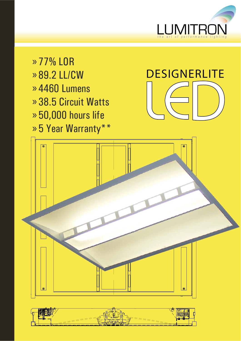

» 77% LOR » 89.2 LL/CW 4460 Lumens » 38.5 Circuit Watts » 50,000 hours life » 5 Year Warranty\*\* »

# **DESIGNERLITE**



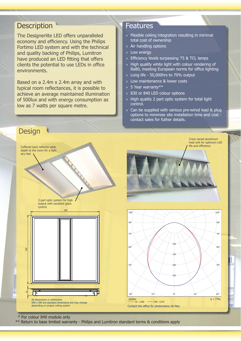## **Description**

The Designerlite LED offers unparalleled economy and efficiency. Using the Philips Fortimo LED system and with the technical and quality backing of Philips, Lumitron have produced an LED fitting that offers clients the potential to use LEDs in office environments.

Based on a 2.4m x 2.4m array and with typical room reflectances, it is possible to achieve an average maintained illumination of 500lux and with energy consumption as low as 7 watts per square metre.

## Features

- » Flexible ceiling integration resulting in minimal total cost of ownership
- » Air handling options
- » Low energy
- » Efficiency levels surpassing T5 & TCL lamps
- » High quality white light with colour rendering of Ra80, meeting European norms for office lighting
- » Long life 50,000hrs to 70% output
- » Low maintenance & lower costs
- » 5 Year warranty\*\*
- » 830 or 840 LED colour options
- » High quality 2 part optic system for total light control.
- » Can be supplied with various pre-wired lead & plug options to minimise site installation time and cost contact sales for futher details.



\* For colour 840 module only

\*\* Return to base limited warranty - Philips and Lumitron standard terms & conditions apply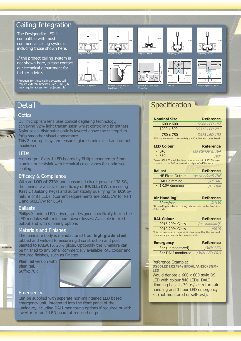# Ceiling Integration

The Designerlite LED is compatible with most commercial ceiling systems including those shown here.

If the project ceiling system is not shown here, please contact our technical department for further advice.

Products for these ceiling systems will require external brackets (Ref: /BKTS) & may require access from adjacent tile



# **Detail**

### **Optics**

Our microprism lens uses conical deglaring technology, achieving 92% light transmission whilst controlling brightness. A sinusoidal distributor optic is layered above the microprism for a smoother visual appearance.

This 2 part optic system ensures glare is minimised and output maximised.

## LEDs

High output Class 1 LED boards by Philips mounted to 5mm aluminium heatsink with technical cross vanes for optimised cooling.

## Efficacy & Compliance

With an **LOR of 77%** and consumed circuit power of 38.5W, the luminaire ahcieves an efficacy of **89.2LL/CW**, exceeding **Part L** (Building Regs) and automatically qualifying for **ECA** by nature of its LEDs. (Current requirements are 55LL/CW for Part L and 60LL/CW for ECA)

#### **Ballasts**

Philips Xitanium LED drivers are designed specifically to run the LED modules with minimum power losses. Available in fixed output and with dimming options

## Materials and Finishes

The luminaire body is manufactured from **high grade steel**, tabbed and welded to ensure rigid construction and post painted to RAL9016, 20% gloss. Optionally the luminaire can be finished to any other commercially available RAL colour and textured finishes, such as Finetex.

Plain rail version with plain rail. Suffix: /CR



#### **Emergency**

Can be supplied with seperate non-maintained LED based emergency unit, integrated into the front panel of the luminaire, including DALI monitoring options if required or with invertor to run 1 LED board at reduced output.

# **Specification**

| <b>Nominal Size</b>                                              | <b>Reference</b>     |
|------------------------------------------------------------------|----------------------|
| $600 \times 600$                                                 | <i>DS66 LED 1R2</i>  |
| $-1200 \times 300$                                               | <b>DS312 LED 2R1</b> |
| 750 x 750                                                        | <b>DS75 LED 1R2</b>  |
| *750 square version is essentially a 600 x 600 with outer bezel. |                      |

| <b>LED Colour</b>                                                                                                   | <b>Reference</b>  |
|---------------------------------------------------------------------------------------------------------------------|-------------------|
| $-840$                                                                                                              | (as standard) /84 |
| $-830$                                                                                                              | /83               |
| *Colour 830 LED modules have reduced output of 4320 lumens<br>compared to the 840 module with output of 4480lumens. |                   |

| <b>Reference</b>  |
|-------------------|
| (as standard) /HF |
| /HFDAL            |
| /HFDIM            |
|                   |

#### **Air Handling\* Reference**

 - 30ltrs/sec /AH30 \*Air handling is achieved through visible slots on the front face of the body.

| <b>RAL Colour</b>                                                 | <b>Reference</b> |
|-------------------------------------------------------------------|------------------|
| - 9016 20% Gloss                                                  | $(as standard)*$ |
| - 9010 20% Gloss                                                  | /9010            |
| *It is the purchaser's responsibility to ensure that the standard |                  |
| colour we supply meets their requirements.                        |                  |

| <b>Emergency</b>     | <b>Reference</b> |
|----------------------|------------------|
| - 3hr (unmonitored)  | /3NM-LED         |
| - 3hr DALI monitored | /3NM-LED-PRO     |

Reference Example:

**DS66LED1R2/84/HFDAL/AH30/3NM-LED**

Would denote a 600 x 600 style DS LED with colour 840 LEDs, DALI dimming ballast, 30ltrs/sec return air handling and 3 hour LED emergency kit (not monitored or self-test).